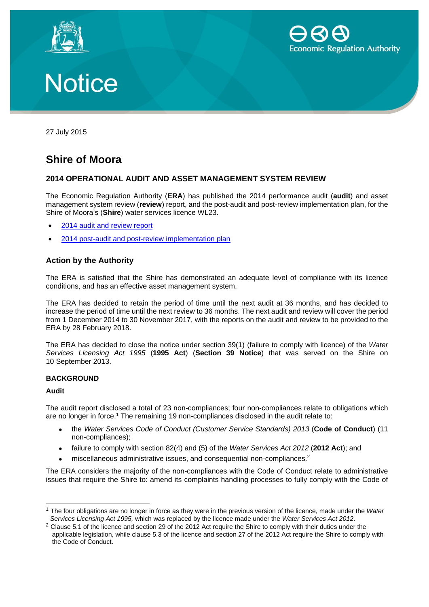





27 July 2015

### **Shire of Moora**

#### **2014 OPERATIONAL AUDIT AND ASSET MANAGEMENT SYSTEM REVIEW**

The Economic Regulation Authority (**ERA**) has published the 2014 performance audit (**audit**) and asset management system review (**review**) report, and the post-audit and post-review implementation plan, for the Shire of Moora's (**Shire**) water services licence WL23.

- [2014 audit and review report](http://www.erawa.com.au/cproot/13781/2/2014%20Operational%20Audit%20and%20Asset%20Management%20Review%20Report%20-%20Shire%20of%20Moora.pdf)
- [2014 post-audit and post-review](http://www.erawa.com.au/cproot/13782/2/2014%20Post-Audit%20and%20Post-Review%20Implementation%20Plan%20-%20Shire%20of%20Moora.pdf) implementation plan

#### **Action by the Authority**

The ERA is satisfied that the Shire has demonstrated an adequate level of compliance with its licence conditions, and has an effective asset management system.

The ERA has decided to retain the period of time until the next audit at 36 months, and has decided to increase the period of time until the next review to 36 months. The next audit and review will cover the period from 1 December 2014 to 30 November 2017, with the reports on the audit and review to be provided to the ERA by 28 February 2018.

The ERA has decided to close the notice under section 39(1) (failure to comply with licence) of the *Water Services Licensing Act 1995* (**1995 Act**) (**Section 39 Notice**) that was served on the Shire on 10 September 2013.

#### **BACKGROUND**

#### **Audit**

 $\overline{a}$ 

The audit report disclosed a total of 23 non-compliances; four non-compliances relate to obligations which are no longer in force.<sup>1</sup> The remaining 19 non-compliances disclosed in the audit relate to:

- the *Water Services Code of Conduct (Customer Service Standards) 2013* (**Code of Conduct**) (11 non-compliances);
- failure to comply with section 82(4) and (5) of the *Water Services Act 2012* (**2012 Act**); and
- miscellaneous administrative issues, and consequential non-compliances.<sup>2</sup>

The ERA considers the majority of the non-compliances with the Code of Conduct relate to administrative issues that require the Shire to: amend its complaints handling processes to fully comply with the Code of

<sup>1</sup> The four obligations are no longer in force as they were in the previous version of the licence, made under the *Water Services Licensing Act 1995,* which was replaced by the licence made under the *Water Services Act 2012*.

<sup>&</sup>lt;sup>2</sup> Clause 5.1 of the licence and section 29 of the 2012 Act require the Shire to comply with their duties under the applicable legislation, while clause 5.3 of the licence and section 27 of the 2012 Act require the Shire to comply with the Code of Conduct.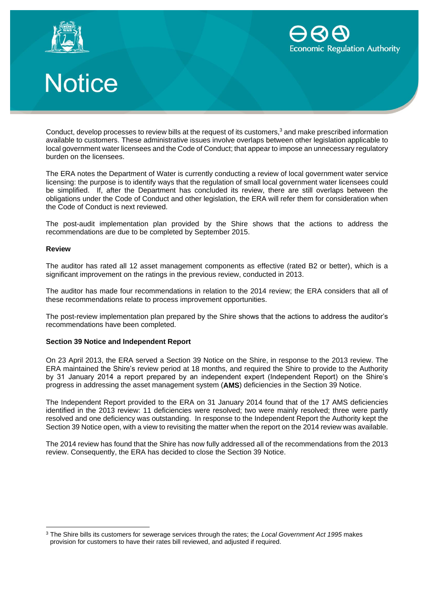



# **Notice**

Conduct, develop processes to review bills at the request of its customers, $3$  and make prescribed information available to customers. These administrative issues involve overlaps between other legislation applicable to local government water licensees and the Code of Conduct; that appear to impose an unnecessary regulatory burden on the licensees.

The ERA notes the Department of Water is currently conducting a review of local government water service licensing: the purpose is to identify ways that the regulation of small local government water licensees could be simplified. If, after the Department has concluded its review, there are still overlaps between the obligations under the Code of Conduct and other legislation, the ERA will refer them for consideration when the Code of Conduct is next reviewed.

The post-audit implementation plan provided by the Shire shows that the actions to address the recommendations are due to be completed by September 2015.

#### **Review**

The auditor has rated all 12 asset management components as effective (rated B2 or better), which is a significant improvement on the ratings in the previous review, conducted in 2013.

The auditor has made four recommendations in relation to the 2014 review; the ERA considers that all of these recommendations relate to process improvement opportunities.

The post-review implementation plan prepared by the Shire shows that the actions to address the auditor's recommendations have been completed.

#### **Section 39 Notice and Independent Report**

On 23 April 2013, the ERA served a Section 39 Notice on the Shire, in response to the 2013 review. The ERA maintained the Shire's review period at 18 months, and required the Shire to provide to the Authority by 31 January 2014 a report prepared by an independent expert (Independent Report) on the Shire's progress in addressing the asset management system (**AMS**) deficiencies in the Section 39 Notice.

The Independent Report provided to the ERA on 31 January 2014 found that of the 17 AMS deficiencies identified in the 2013 review: 11 deficiencies were resolved; two were mainly resolved; three were partly resolved and one deficiency was outstanding. In response to the Independent Report the Authority kept the Section 39 Notice open, with a view to revisiting the matter when the report on the 2014 review was available.

The 2014 review has found that the Shire has now fully addressed all of the recommendations from the 2013 review. Consequently, the ERA has decided to close the Section 39 Notice.

<sup>3</sup> The Shire bills its customers for sewerage services through the rates; the *Local Government Act 1995* makes provision for customers to have their rates bill reviewed, and adjusted if required.